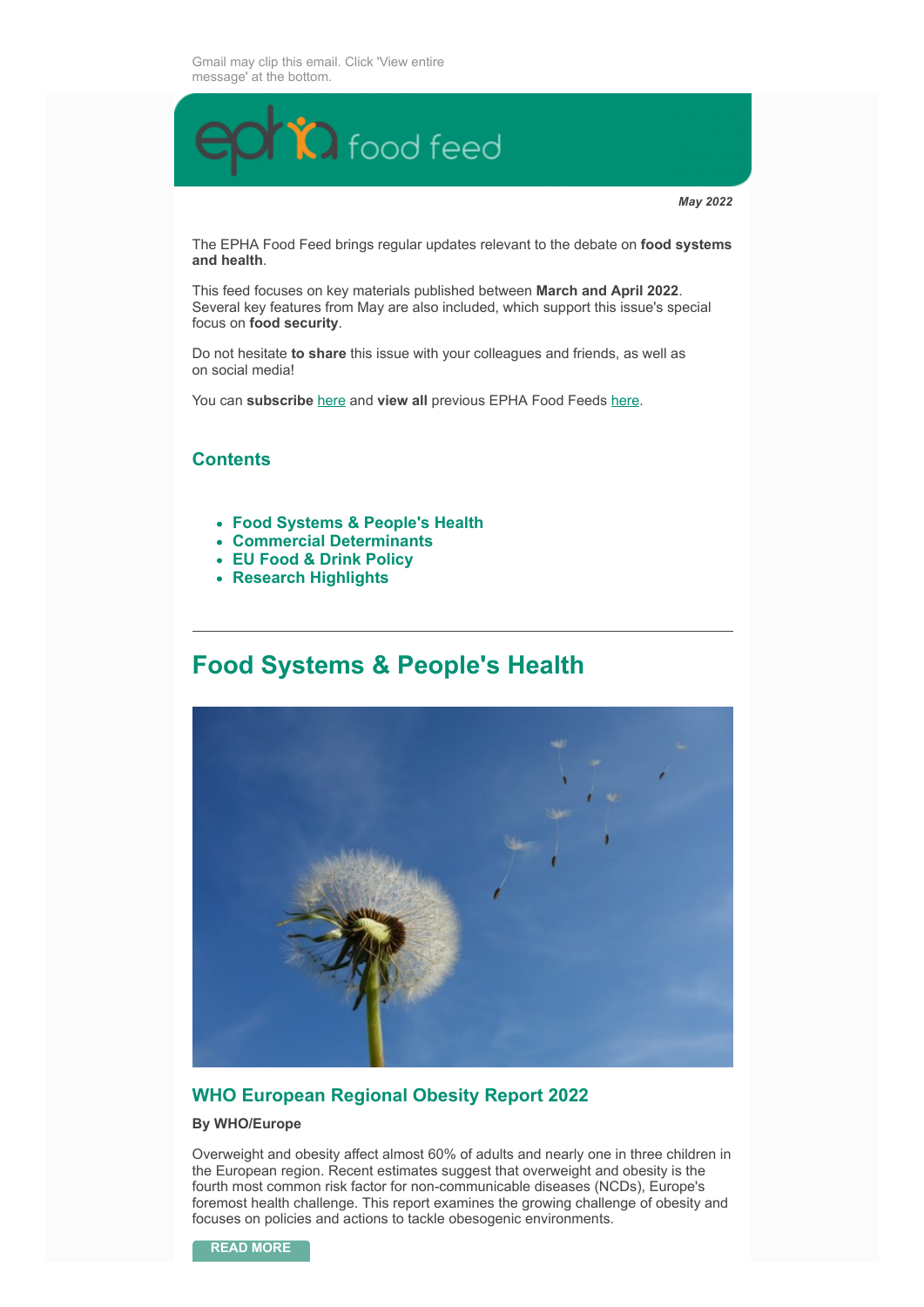

*May 2022*

The EPHA Food Feed brings regular updates relevant to the debate on **food systems and health**.

This feed focuses on key materials published between **March and April 2022**. Several key features from May are also included, which support this issue's special focus on **food security**.

Do not hesitate **to share** this issue with your colleagues and friends, as well as on social media!

You can **subscribe** [here](https://crm.epha.org/keep-in-touch?_ga=2.243991943.306379526.1630490816-67048707.1620831204) and **view all** previous EPHA Food Feeds [here.](https://epha.org/epha-food-feed/)

### **Contents**

- **Food Systems & People's Health**
- **Commercial Determinants**
- **EU Food & Drink Policy**
- **Research Highlights**

## **Food Systems & People's Health**



### **WHO European Regional Obesity Report 2022**

#### **By WHO/Europe**

Overweight and obesity affect almost 60% of adults and nearly one in three children in the European region. Recent estimates suggest that overweight and obesity is the fourth most common risk factor for non-communicable diseases (NCDs), Europe's foremost health challenge. This report examines the growing challenge of obesity and focuses on policies and actions to tackle obesogenic environments.

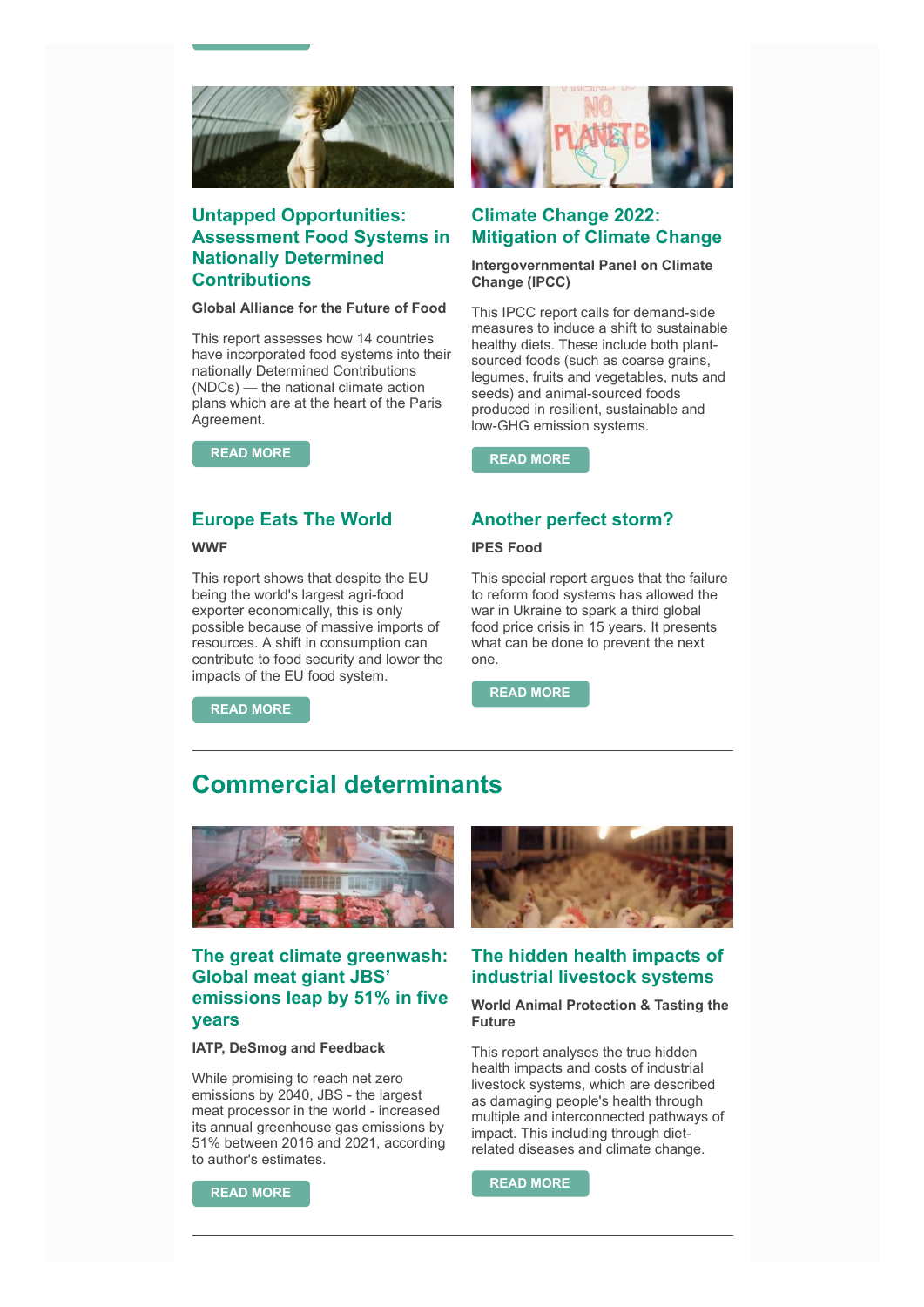

### **Untapped Opportunities: Assessment Food Systems in Nationally Determined Contributions**

#### **Global Alliance for the Future of Food**

This report assesses how 14 countries have incorporated food systems into their nationally Determined Contributions (NDCs) — the national climate action plans which are at the heart of the Paris Agreement.

**[READ MORE](https://futureoffood.org/insights/untapped-opportunities-for-climate-action-food-systems-in-nationally-determined-contributions/?utm_source=Global+Alliance+Database&utm_campaign=fc519a6ac7-NDC+report+launch&utm_medium=email&utm_term=0_cb44996c3e-fc519a6ac7-364545650)**

### **Europe Eats The World**

**WWF**

This report shows that despite the EU being the world's largest agri-food exporter economically, this is only possible because of massive imports of resources. A shift in consumption can contribute to food security and lower the impacts of the EU food system.

**[READ MORE](https://www.wwf.eu/wwf_news/media_centre/?uNewsID=6641916)**



### **Climate Change 2022: Mitigation of Climate Change**

#### **Intergovernmental Panel on Climate Change (IPCC)**

This IPCC report calls for demand-side measures to induce a shift to sustainable healthy diets. These include both plantsourced foods (such as coarse grains, legumes, fruits and vegetables, nuts and seeds) and animal-sourced foods produced in resilient, sustainable and low-GHG emission systems.

**[READ MORE](https://www.ipcc.ch/report/ar6/wg3/)**

### **Another perfect storm?**

#### **IPES Food**

This special report argues that the failure to reform food systems has allowed the war in Ukraine to spark a third global food price crisis in 15 years. It presents what can be done to prevent the next one.

**[READ MORE](https://ipes-food.org/pages/foodpricecrisis)**

# **Commercial determinants**



### **The great climate greenwash: Global meat giant JBS' emissions leap by 51% in five years**

#### **IATP, DeSmog and Feedback**

While promising to reach net zero emissions by 2040, JBS - the largest meat processor in the world - increased its annual greenhouse gas emissions by 51% between 2016 and 2021, according to author's estimates.



### **The hidden health impacts of industrial livestock systems**

#### **World Animal Protection & Tasting the Future**

This report analyses the true hidden health impacts and costs of industrial livestock systems, which are described as damaging people's health through multiple and interconnected pathways of impact. This including through dietrelated diseases and climate change.

**[READ MORE](https://www.eating-better.org/news-and-reports/news/the-hidden-health-impacts-of-industrial-livestock-systems/)**

**[READ MORE](https://www.iatp.org/jbs-emissions-rising-despite-net-zero-pledge)**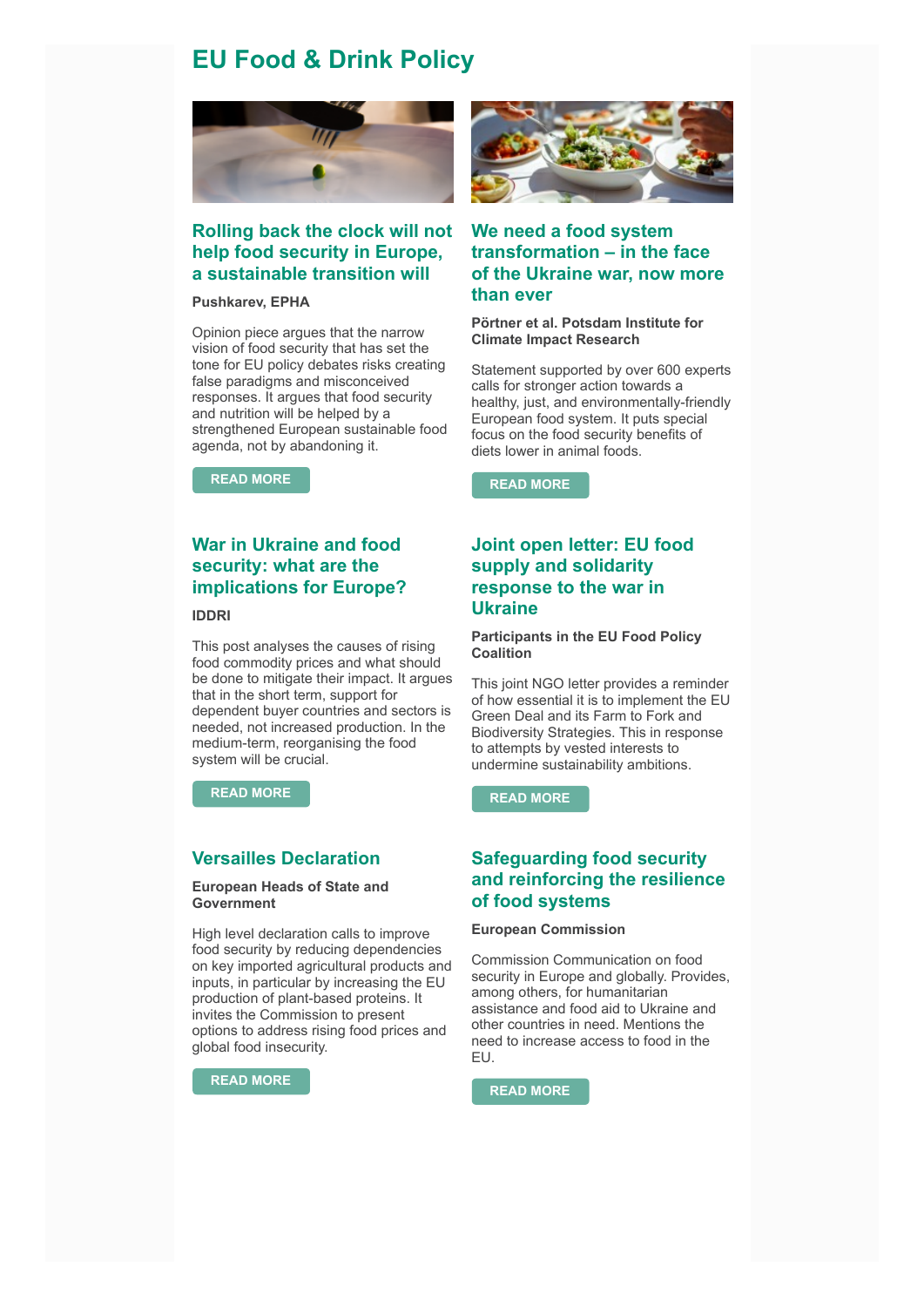## **EU Food & Drink Policy**



### **Rolling back the clock will not help food security in Europe, a sustainable transition will**

#### **Pushkarev, EPHA**

Opinion piece argues that the narrow vision of food security that has set the tone for EU policy debates risks creating false paradigms and misconceived responses. It argues that food security and nutrition will be helped by a strengthened European sustainable food agenda, not by abandoning it.

**[READ MORE](https://epha.org/rolling-back-the-clock-will-not-help-food-security-in-europe-a-sustainable-transition-will/)**



### **We need a food system transformation – in the face of the Ukraine war, now more than ever**

#### **Pörtner et al. Potsdam Institute for Climate Impact Research**

Statement supported by over 600 experts calls for stronger action towards a healthy, just, and environmentally-friendly European food system. It puts special focus on the food security benefits of diets lower in animal foods.

**[READ MORE](https://zenodo.org/record/6461468#.YouzzFRByUk)**

### **War in Ukraine and food security: what are the implications for Europe?**

#### **IDDRI**

This post analyses the causes of rising food commodity prices and what should be done to mitigate their impact. It argues that in the short term, support for dependent buyer countries and sectors is needed, not increased production. In the medium-term, reorganising the food system will be crucial.

**[READ MORE](https://www.iddri.org/en/publications-and-events/blog-post/war-ukraine-and-food-security-what-are-implications-europe)**

### **Versailles Declaration**

#### **European Heads of State and Government**

High level declaration calls to improve food security by reducing dependencies on key imported agricultural products and inputs, in particular by increasing the EU production of plant-based proteins. It invites the Commission to present options to address rising food prices and global food insecurity.

**[READ MORE](https://www.consilium.europa.eu/media/54773/20220311-versailles-declaration-en.pdf)**

### **Joint open letter: EU food supply and solidarity response to the war in Ukraine**

#### **Participants in the EU Food Policy Coalition**

This joint NGO letter provides a reminder of how essential it is to implement the EU Green Deal and its Farm to Fork and Biodiversity Strategies. This in response to attempts by vested interests to undermine sustainability ambitions.

**[READ MORE](https://foodpolicycoalition.eu/wp-content/uploads/2022/03/Joint-open-letter-EU-food-supply-and-solidarity-response-to-the-war-in-Ukraine.-March-2022.pdf)**

### **Safeguarding food security and reinforcing the resilience of food systems**

#### **European Commission**

Commission Communication on food security in Europe and globally. Provides, among others, for humanitarian assistance and food aid to Ukraine and other countries in need. Mentions the need to increase access to food in the EU.

**[READ MORE](https://ec.europa.eu/info/sites/default/files/food-farming-fisheries/key_policies/documents/safeguarding-food-security-reinforcing-resilience-food-systems.pdf)**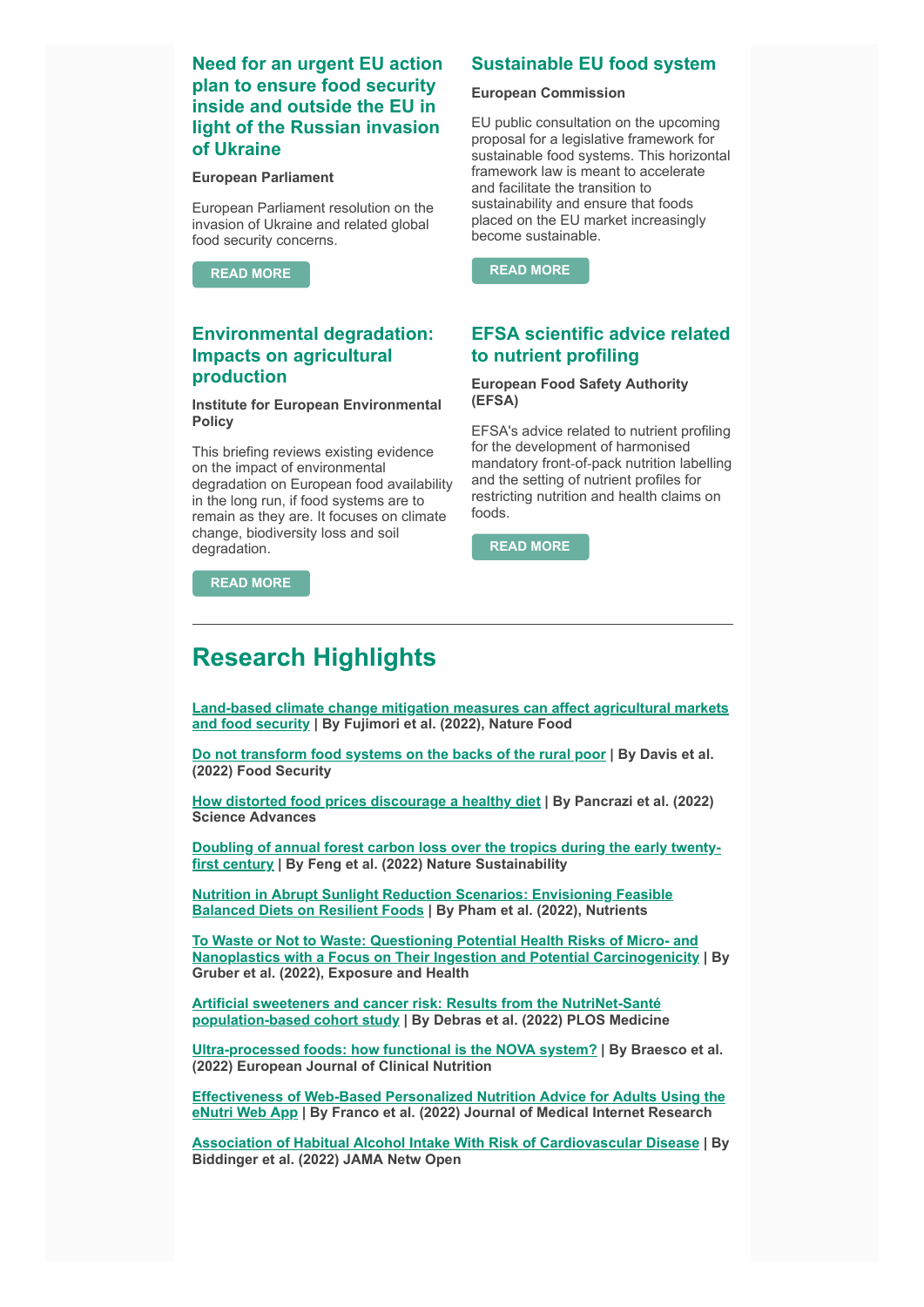### **Need for an urgent EU action plan to ensure food security inside and outside the EU in light of the Russian invasion of Ukraine**

#### **European Parliament**

European Parliament resolution on the invasion of Ukraine and related global food security concerns.

**[READ MORE](https://www.europarl.europa.eu/doceo/document/TA-9-2022-0099_EN.pdf)**

### **Environmental degradation: Impacts on agricultural production**

#### **Institute for European Environmental Policy**

This briefing reviews existing evidence on the impact of environmental degradation on European food availability in the long run, if food systems are to remain as they are. It focuses on climate change, biodiversity loss and soil degradation. **[READ MORE](https://www.efsa.europa.eu/en/efsajournal/pub/7259)** 

**[READ MORE](https://ieep.eu/publications/environmental-degradation-impacts-on-agricultural-production)**

### **Sustainable EU food system**

#### **European Commission**

EU public consultation on the upcoming proposal for a legislative framework for sustainable food systems. This horizontal framework law is meant to accelerate and facilitate the transition to sustainability and ensure that foods placed on the EU market increasingly become sustainable.

**[READ MORE](https://ec.europa.eu/info/law/better-regulation/have-your-say/initiatives/13174-Sustainable-food-system-setting-up-an-EU-framework/public-consultation_en)**

### **EFSA scientific advice related to nutrient profiling**

#### **European Food Safety Authority (EFSA)**

EFSA's advice related to nutrient profiling for the development of harmonised mandatory front‐of‐pack nutrition labelling and the setting of nutrient profiles for restricting nutrition and health claims on foods.

## **Research Highlights**

**[Land-based climate change mitigation measures can affect agricultural markets](https://www.nature.com/articles/s43016-022-00464-4) and food security | By Fujimori et al. (2022), Nature Food**

**[Do not transform food systems on the backs of the rural poor](https://link.springer.com/article/10.1007/s12571-021-01214-3) | By Davis et al. (2022) Food Security**

**[How distorted food prices discourage a healthy diet](https://www.science.org/doi/10.1126/sciadv.abi8807) | By Pancrazi et al. (2022) Science Advances**

**[Doubling of annual forest carbon loss over the tropics during the early twenty](https://www.nature.com/articles/s41893-022-00854-3)first century | By Feng et al. (2022) Nature Sustainability**

**[Nutrition in Abrupt Sunlight Reduction Scenarios: Envisioning Feasible](https://www.mdpi.com/2072-6643/14/3/492) Balanced Diets on Resilient Foods | By Pham et al. (2022), Nutrients**

**[To Waste or Not to Waste: Questioning Potential Health Risks of Micro- and](https://link.springer.com/article/10.1007/s12403-022-00470-8) Nanoplastics with a Focus on Their Ingestion and Potential Carcinogenicity | By Gruber et al. (2022), Exposure and Health**

**Artificial sweeteners and cancer risk: Results from the NutriNet-Santé [population-based cohort study | By Debras et al. \(2022\) PLOS Medicine](https://journals.plos.org/plosmedicine/article?id=10.1371/journal.pmed.1003950)**

**[Ultra-processed foods: how functional is the NOVA system?](https://www.nature.com/articles/s41430-022-01099-1) | By Braesco et al. (2022) European Journal of Clinical Nutrition**

**[Effectiveness of Web-Based Personalized Nutrition Advice for Adults Using the](https://www.jmir.org/2022/4/e29088) eNutri Web App | By Franco et al. (2022) Journal of Medical Internet Research**

**[Association of Habitual Alcohol Intake With Risk of Cardiovascular Disease](https://jamanetwork.com/journals/jamanetworkopen/fullarticle/2790520) | By Biddinger et al. (2022) JAMA Netw Open**